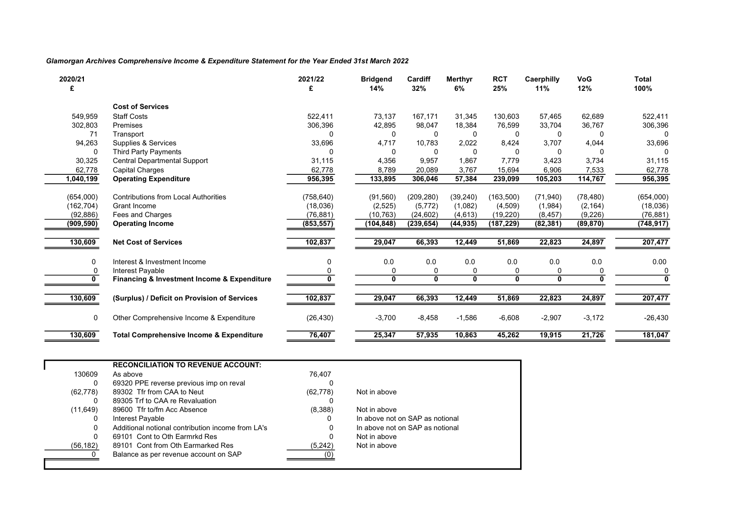## Glamorgan Archives Comprehensive Income & Expenditure Statement for the Year Ended 31st March 2022

| 2020/21<br>£ |                                                     | 2021/22    | <b>Bridgend</b><br>14% | Cardiff<br>32% | Merthyr<br>6% | <b>RCT</b><br>25% | Caerphilly<br>11% | <b>VoG</b><br>12% | <b>Total</b><br>100% |
|--------------|-----------------------------------------------------|------------|------------------------|----------------|---------------|-------------------|-------------------|-------------------|----------------------|
|              | <b>Cost of Services</b>                             |            |                        |                |               |                   |                   |                   |                      |
| 549,959      | <b>Staff Costs</b>                                  | 522.411    | 73,137                 | 167,171        | 31.345        | 130,603           | 57,465            | 62,689            | 522,411              |
| 302,803      | Premises                                            | 306,396    | 42,895                 | 98,047         | 18,384        | 76,599            | 33,704            | 36,767            | 306,396              |
| 71           | Transport                                           | n          | 0                      | $\Omega$       | 0             | 0                 | $\Omega$          | 0                 |                      |
| 94,263       | Supplies & Services                                 | 33,696     | 4,717                  | 10,783         | 2,022         | 8,424             | 3,707             | 4,044             | 33,696               |
| 0            | <b>Third Party Payments</b>                         |            | $\Omega$               |                | 0             |                   | 0                 | 0                 |                      |
| 30,325       | Central Departmental Support                        | 31,115     | 4,356                  | 9,957          | 1,867         | 7.779             | 3,423             | 3,734             | 31,115               |
| 62,778       | <b>Capital Charges</b>                              | 62,778     | 8,789                  | 20,089         | 3,767         | 15,694            | 6,906             | 7,533             | 62,778               |
| 1,040,199    | <b>Operating Expenditure</b>                        | 956,395    | 133,895                | 306,046        | 57,384        | 239,099           | 105,203           | 114,767           | 956,395              |
| (654,000)    | <b>Contributions from Local Authorities</b>         | (758, 640) | (91, 560)              | (209, 280)     | (39, 240)     | (163, 500)        | (71, 940)         | (78, 480)         | (654,000)            |
| (162, 704)   | Grant Income                                        | (18,036)   | (2,525)                | (5,772)        | (1,082)       | (4,509)           | (1,984)           | (2, 164)          | (18,036)             |
| (92, 886)    | Fees and Charges                                    | (76, 881)  | (10, 763)              | (24, 602)      | (4,613)       | (19,220)          | (8, 457)          | (9,226)           | (76, 881)            |
| (909, 590)   | <b>Operating Income</b>                             | (853, 557) | (104,848)              | (239, 654)     | (44, 935)     | (187, 229)        | (82, 381)         | (89, 870)         | (748, 917)           |
|              |                                                     |            |                        |                |               |                   |                   |                   |                      |
| 130,609      | <b>Net Cost of Services</b>                         | 102,837    | 29,047                 | 66,393         | 12,449        | 51,869            | 22,823            | 24,897            | 207,477              |
| 0            | Interest & Investment Income                        | 0          | 0.0                    | 0.0            | 0.0           | 0.0               | 0.0               | 0.0               | 0.00                 |
| 0            | Interest Payable                                    |            |                        |                |               |                   |                   |                   |                      |
| 0            | Financing & Investment Income & Expenditure         | O.         | 0                      | $\mathbf{0}$   | 0             | $\mathbf{0}$      | $\mathbf{0}$      | $\bf{0}$          |                      |
| 130,609      | (Surplus) / Deficit on Provision of Services        | 102,837    | 29,047                 | 66,393         | 12,449        | 51,869            | 22,823            | 24,897            | 207,477              |
| 0            | Other Comprehensive Income & Expenditure            | (26, 430)  | $-3,700$               | $-8,458$       | $-1,586$      | $-6,608$          | $-2,907$          | $-3,172$          | $-26,430$            |
| 130,609      | <b>Total Comprehensive Income &amp; Expenditure</b> | 76,407     | 25,347                 | 57,935         | 10,863        | 45,262            | 19,915            | 21,726            | 181,047              |

|           | <b>RECONCILIATION TO REVENUE ACCOUNT:</b>         |           |                                 |  |
|-----------|---------------------------------------------------|-----------|---------------------------------|--|
| 130609    | As above                                          | 76.407    |                                 |  |
| 0         | 69320 PPE reverse previous imp on reval           |           |                                 |  |
| (62, 778) | 89302 Tfr from CAA to Neut                        | (62, 778) | Not in above                    |  |
|           | 89305 Trf to CAA re Revaluation                   |           |                                 |  |
| (11,649)  | 89600 Tfr to/fm Acc Absence                       | (8,388)   | Not in above                    |  |
|           | Interest Payable                                  |           | In above not on SAP as notional |  |
| 0         | Additional notional contribution income from LA's |           | In above not on SAP as notional |  |
| 0         | 69101 Cont to Oth Earmrkd Res                     |           | Not in above                    |  |
| (56, 182) | 89101 Cont from Oth Earmarked Res                 | (5,242)   | Not in above                    |  |
|           | Balance as per revenue account on SAP             |           |                                 |  |
|           |                                                   |           |                                 |  |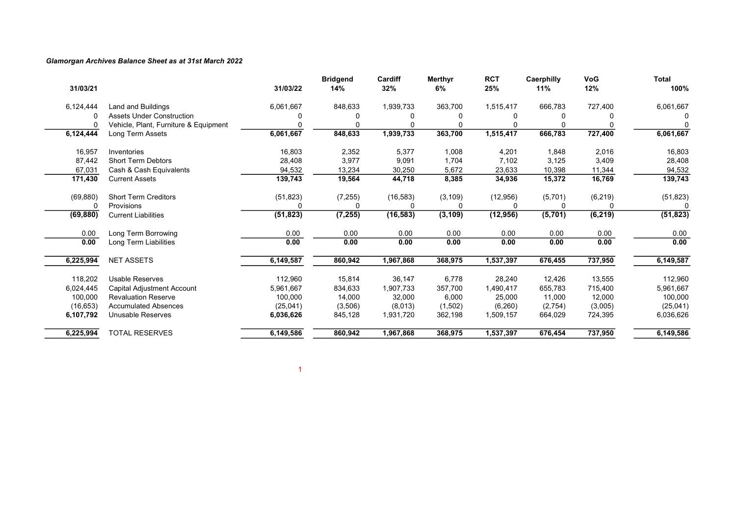### Glamorgan Archives Balance Sheet as at 31st March 2022

| 31/03/21  |                                       | 31/03/22  | <b>Bridgend</b><br>14% | Cardiff<br>32% | <b>Merthyr</b><br>6% | <b>RCT</b><br>25% | Caerphilly<br>11% | VoG<br>12% | <b>Total</b><br>100% |
|-----------|---------------------------------------|-----------|------------------------|----------------|----------------------|-------------------|-------------------|------------|----------------------|
| 6,124,444 | Land and Buildings                    | 6,061,667 | 848,633                | 1,939,733      | 363,700              | 1,515,417         | 666,783           | 727,400    | 6,061,667            |
|           | <b>Assets Under Construction</b>      |           |                        |                |                      |                   |                   |            |                      |
|           | Vehicle, Plant, Furniture & Equipment |           |                        |                |                      |                   |                   |            |                      |
| 6,124,444 | Long Term Assets                      | 6,061,667 | 848,633                | 1,939,733      | 363,700              | 1,515,417         | 666,783           | 727,400    | 6,061,667            |
| 16,957    | Inventories                           | 16,803    | 2,352                  | 5,377          | 1,008                | 4,201             | 1,848             | 2,016      | 16,803               |
| 87,442    | <b>Short Term Debtors</b>             | 28,408    | 3,977                  | 9,091          | 1,704                | 7,102             | 3,125             | 3,409      | 28,408               |
| 67,031    | Cash & Cash Equivalents               | 94,532    | 13,234                 | 30,250         | 5,672                | 23,633            | 10,398            | 11,344     | 94,532               |
| 171,430   | <b>Current Assets</b>                 | 139,743   | 19,564                 | 44,718         | 8,385                | 34,936            | 15,372            | 16,769     | 139,743              |
| (69, 880) | <b>Short Term Creditors</b>           | (51, 823) | (7, 255)               | (16, 583)      | (3, 109)             | (12, 956)         | (5,701)           | (6, 219)   | (51, 823)            |
|           | Provisions                            |           |                        | ∩              |                      | $\Omega$          |                   | U          |                      |
| (69, 880) | <b>Current Liabilities</b>            | (51, 823) | (7, 255)               | (16, 583)      | (3, 109)             | (12, 956)         | (5,701)           | (6, 219)   | (51, 823)            |
| 0.00      | Long Term Borrowing                   | 0.00      | 0.00                   | 0.00           | 0.00                 | 0.00              | 0.00              | 0.00       | 0.00                 |
| 0.00      | Long Term Liabilities                 | 0.00      | 0.00                   | 0.00           | 0.00                 | 0.00              | 0.00              | 0.00       | 0.00                 |
| 6,225,994 | <b>NET ASSETS</b>                     | 6,149,587 | 860,942                | 1,967,868      | 368,975              | 1,537,397         | 676,455           | 737,950    | 6,149,587            |
| 118,202   | <b>Usable Reserves</b>                | 112,960   | 15,814                 | 36,147         | 6,778                | 28,240            | 12,426            | 13,555     | 112,960              |
| 6,024,445 | Capital Adjustment Account            | 5,961,667 | 834,633                | 1,907,733      | 357,700              | 1,490,417         | 655,783           | 715,400    | 5,961,667            |
| 100,000   | <b>Revaluation Reserve</b>            | 100,000   | 14,000                 | 32,000         | 6,000                | 25,000            | 11,000            | 12,000     | 100,000              |
| (16, 653) | <b>Accumulated Absences</b>           | (25, 041) | (3,506)                | (8,013)        | (1,502)              | (6, 260)          | (2,754)           | (3,005)    | (25,041)             |
| 6,107,792 | Unusable Reserves                     | 6,036,626 | 845,128                | 1,931,720      | 362,198              | 1,509,157         | 664,029           | 724,395    | 6,036,626            |
| 6,225,994 | <b>TOTAL RESERVES</b>                 | 6,149,586 | 860,942                | 1,967,868      | 368,975              | 1,537,397         | 676,454           | 737,950    | 6,149,586            |

1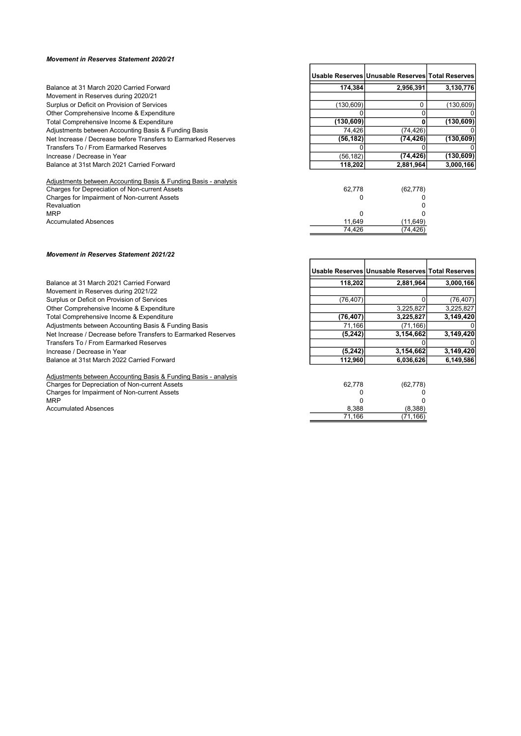#### Movement in Reserves Statement 2020/21

|                                                                 |            | Usable Reserves Unusable Reserves Total Reserves |            |
|-----------------------------------------------------------------|------------|--------------------------------------------------|------------|
| Balance at 31 March 2020 Carried Forward                        | 174.384    | 2,956,391                                        | 3,130,776  |
| Movement in Reserves during 2020/21                             |            |                                                  |            |
| Surplus or Deficit on Provision of Services                     | (130, 609) |                                                  | (130, 609) |
| Other Comprehensive Income & Expenditure                        |            |                                                  |            |
| Total Comprehensive Income & Expenditure                        | (130, 609) |                                                  | (130, 609) |
| Adjustments between Accounting Basis & Funding Basis            | 74,426     | (74, 426)                                        |            |
| Net Increase / Decrease before Transfers to Earmarked Reserves  | (56, 182)  | (74,426)                                         | (130, 609) |
| Transfers To / From Earmarked Reserves                          |            |                                                  |            |
| Increase / Decrease in Year                                     | (56, 182)  | (74, 426)                                        | (130, 609) |
| Balance at 31st March 2021 Carried Forward                      | 118,202    | 2,881,964                                        | 3,000,166  |
| Adjustments between Accounting Basis & Funding Basis - analysis |            |                                                  |            |
| Charges for Depreciation of Non-current Assets                  | 62.778     | (62, 778)                                        |            |
| Charges for Impairment of Non-current Assets                    |            |                                                  |            |
| Revaluation                                                     |            |                                                  |            |
| <b>MRP</b>                                                      | 0          |                                                  |            |
| <b>Accumulated Absences</b>                                     | 11,649     | (11, 649)                                        |            |
|                                                                 | 74,426     | (74,426)                                         |            |

r

## Movement in Reserves Statement 2021/22

|                                                                 |           | Usable Reserves Unusable Reserves Total Reserves |           |
|-----------------------------------------------------------------|-----------|--------------------------------------------------|-----------|
| Balance at 31 March 2021 Carried Forward                        | 118.202   | 2,881,964                                        | 3,000,166 |
| Movement in Reserves during 2021/22                             |           |                                                  |           |
| Surplus or Deficit on Provision of Services                     | (76, 407) |                                                  | (76, 407) |
| Other Comprehensive Income & Expenditure                        |           | 3,225,827                                        | 3,225,827 |
| Total Comprehensive Income & Expenditure                        | (76, 407) | 3,225,827                                        | 3,149,420 |
| Adjustments between Accounting Basis & Funding Basis            | 71,166    | (71, 166)                                        |           |
| Net Increase / Decrease before Transfers to Earmarked Reserves  | (5, 242)  | 3,154,662                                        | 3,149,420 |
| Transfers To / From Earmarked Reserves                          |           |                                                  |           |
| Increase / Decrease in Year                                     | (5, 242)  | 3,154,662                                        | 3,149,420 |
| Balance at 31st March 2022 Carried Forward                      | 112,960   | 6,036,626                                        | 6,149,586 |
| Adjustments between Accounting Basis & Funding Basis - analysis |           |                                                  |           |
| Charges for Depreciation of Non-current Assets                  | 62,778    | (62, 778)                                        |           |
| Charges for Impairment of Non-current Assets                    |           |                                                  |           |
| <b>MRP</b>                                                      |           |                                                  |           |
| <b>Accumulated Absences</b>                                     | 8.388     | (8,388)                                          |           |
|                                                                 | 71,166    | (71,166)                                         |           |